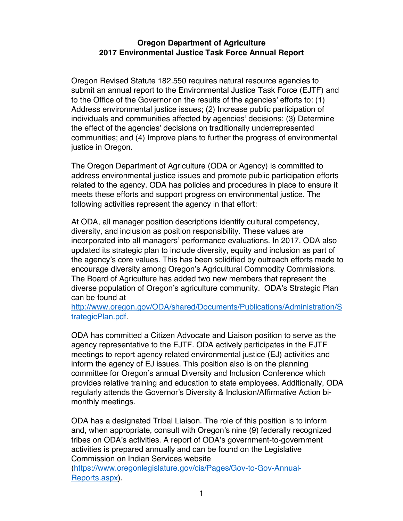## **Oregon Department of Agriculture 2017 Environmental Justice Task Force Annual Report**

Oregon Revised Statute 182.550 requires natural resource agencies to submit an annual report to the Environmental Justice Task Force (EJTF) and to the Office of the Governor on the results of the agencies' efforts to: (1) Address environmental justice issues; (2) Increase public participation of individuals and communities affected by agencies' decisions; (3) Determine the effect of the agencies' decisions on traditionally underrepresented communities; and (4) Improve plans to further the progress of environmental justice in Oregon.

The Oregon Department of Agriculture (ODA or Agency) is committed to address environmental justice issues and promote public participation efforts related to the agency. ODA has policies and procedures in place to ensure it meets these efforts and support progress on environmental justice. The following activities represent the agency in that effort:

At ODA, all manager position descriptions identify cultural competency, diversity, and inclusion as position responsibility. These values are incorporated into all managers' performance evaluations. In 2017, ODA also updated its strategic plan to include diversity, equity and inclusion as part of the agency's core values. This has been solidified by outreach efforts made to encourage diversity among Oregon's Agricultural Commodity Commissions. The Board of Agriculture has added two new members that represent the diverse population of Oregon's agriculture community. ODA's Strategic Plan can be found at

http://www.oregon.gov/ODA/shared/Documents/Publications/Administration/S trategicPlan.pdf.

ODA has committed a Citizen Advocate and Liaison position to serve as the agency representative to the EJTF. ODA actively participates in the EJTF meetings to report agency related environmental justice (EJ) activities and inform the agency of EJ issues. This position also is on the planning committee for Oregon's annual Diversity and Inclusion Conference which provides relative training and education to state employees. Additionally, ODA regularly attends the Governor's Diversity & Inclusion/Affirmative Action bimonthly meetings.

ODA has a designated Tribal Liaison. The role of this position is to inform and, when appropriate, consult with Oregon's nine (9) federally recognized tribes on ODA's activities. A report of ODA's government-to-government activities is prepared annually and can be found on the Legislative Commission on Indian Services website

(https://www.oregonlegislature.gov/cis/Pages/Gov-to-Gov-Annual-Reports.aspx).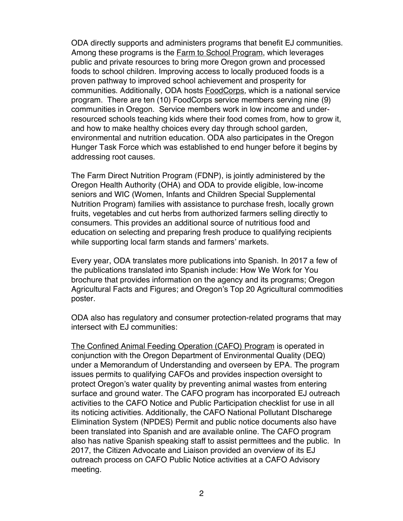ODA directly supports and administers programs that benefit EJ communities. Among these programs is the Farm to School Program, which leverages public and private resources to bring more Oregon grown and processed foods to school children. Improving access to locally produced foods is a proven pathway to improved school achievement and prosperity for communities. Additionally, ODA hosts FoodCorps, which is a national service program. There are ten (10) FoodCorps service members serving nine (9) communities in Oregon. Service members work in low income and underresourced schools teaching kids where their food comes from, how to grow it, and how to make healthy choices every day through school garden, environmental and nutrition education. ODA also participates in the Oregon Hunger Task Force which was established to end hunger before it begins by addressing root causes.

The Farm Direct Nutrition Program (FDNP), is jointly administered by the Oregon Health Authority (OHA) and ODA to provide eligible, low-income seniors and WIC (Women, Infants and Children Special Supplemental Nutrition Program) families with assistance to purchase fresh, locally grown fruits, vegetables and cut herbs from authorized farmers selling directly to consumers. This provides an additional source of nutritious food and education on selecting and preparing fresh produce to qualifying recipients while supporting local farm stands and farmers' markets.

Every year, ODA translates more publications into Spanish. In 2017 a few of the publications translated into Spanish include: How We Work for You brochure that provides information on the agency and its programs; Oregon Agricultural Facts and Figures; and Oregon's Top 20 Agricultural commodities poster.

ODA also has regulatory and consumer protection-related programs that may intersect with EJ communities:

The Confined Animal Feeding Operation (CAFO) Program is operated in conjunction with the Oregon Department of Environmental Quality (DEQ) under a Memorandum of Understanding and overseen by EPA. The program issues permits to qualifying CAFOs and provides inspection oversight to protect Oregon's water quality by preventing animal wastes from entering surface and ground water. The CAFO program has incorporated EJ outreach activities to the CAFO Notice and Public Participation checklist for use in all its noticing activities. Additionally, the CAFO National Pollutant DIscharege Elimination System (NPDES) Permit and public notice documents also have been translated into Spanish and are available online. The CAFO program also has native Spanish speaking staff to assist permittees and the public. In 2017, the Citizen Advocate and Liaison provided an overview of its EJ outreach process on CAFO Public Notice activities at a CAFO Advisory meeting.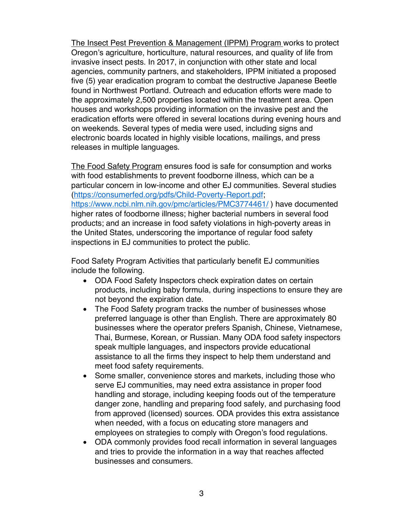The Insect Pest Prevention & Management (IPPM) Program works to protect Oregon's agriculture, horticulture, natural resources, and quality of life from invasive insect pests. In 2017, in conjunction with other state and local agencies, community partners, and stakeholders, IPPM initiated a proposed five (5) year eradication program to combat the destructive Japanese Beetle found in Northwest Portland. Outreach and education efforts were made to the approximately 2,500 properties located within the treatment area. Open houses and workshops providing information on the invasive pest and the eradication efforts were offered in several locations during evening hours and on weekends. Several types of media were used, including signs and electronic boards located in highly visible locations, mailings, and press releases in multiple languages.

The Food Safety Program ensures food is safe for consumption and works with food establishments to prevent foodborne illness, which can be a particular concern in low-income and other EJ communities. Several studies (https://consumerfed.org/pdfs/Child-Poverty-Report.pdf; https://www.ncbi.nlm.nih.gov/pmc/articles/PMC3774461/ ) have documented higher rates of foodborne illness; higher bacterial numbers in several food products; and an increase in food safety violations in high-poverty areas in the United States, underscoring the importance of regular food safety inspections in EJ communities to protect the public.

Food Safety Program Activities that particularly benefit EJ communities include the following.

- ODA Food Safety Inspectors check expiration dates on certain products, including baby formula, during inspections to ensure they are not beyond the expiration date.
- The Food Safety program tracks the number of businesses whose preferred language is other than English. There are approximately 80 businesses where the operator prefers Spanish, Chinese, Vietnamese, Thai, Burmese, Korean, or Russian. Many ODA food safety inspectors speak multiple languages, and inspectors provide educational assistance to all the firms they inspect to help them understand and meet food safety requirements.
- Some smaller, convenience stores and markets, including those who serve EJ communities, may need extra assistance in proper food handling and storage, including keeping foods out of the temperature danger zone, handling and preparing food safely, and purchasing food from approved (licensed) sources. ODA provides this extra assistance when needed, with a focus on educating store managers and employees on strategies to comply with Oregon's food regulations.
- ODA commonly provides food recall information in several languages and tries to provide the information in a way that reaches affected businesses and consumers.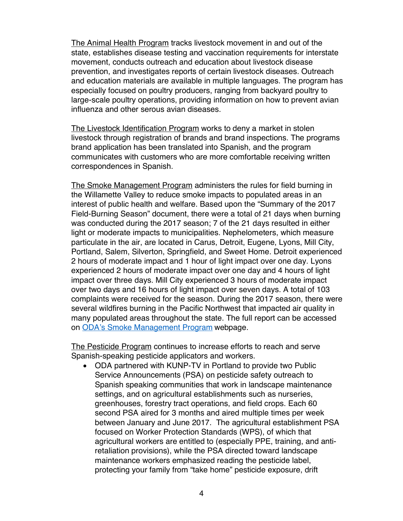The Animal Health Program tracks livestock movement in and out of the state, establishes disease testing and vaccination requirements for interstate movement, conducts outreach and education about livestock disease prevention, and investigates reports of certain livestock diseases. Outreach and education materials are available in multiple languages. The program has especially focused on poultry producers, ranging from backyard poultry to large-scale poultry operations, providing information on how to prevent avian influenza and other serous avian diseases.

The Livestock Identification Program works to deny a market in stolen livestock through registration of brands and brand inspections. The programs brand application has been translated into Spanish, and the program communicates with customers who are more comfortable receiving written correspondences in Spanish.

The Smoke Management Program administers the rules for field burning in the Willamette Valley to reduce smoke impacts to populated areas in an interest of public health and welfare. Based upon the "Summary of the 2017 Field-Burning Season" document, there were a total of 21 days when burning was conducted during the 2017 season; 7 of the 21 days resulted in either light or moderate impacts to municipalities. Nephelometers, which measure particulate in the air, are located in Carus, Detroit, Eugene, Lyons, Mill City, Portland, Salem, Silverton, Springfield, and Sweet Home. Detroit experienced 2 hours of moderate impact and 1 hour of light impact over one day. Lyons experienced 2 hours of moderate impact over one day and 4 hours of light impact over three days. Mill City experienced 3 hours of moderate impact over two days and 16 hours of light impact over seven days. A total of 103 complaints were received for the season. During the 2017 season, there were several wildfires burning in the Pacific Northwest that impacted air quality in many populated areas throughout the state. The full report can be accessed on ODA's Smoke Management Program webpage.

The Pesticide Program continues to increase efforts to reach and serve Spanish-speaking pesticide applicators and workers.

• ODA partnered with KUNP-TV in Portland to provide two Public Service Announcements (PSA) on pesticide safety outreach to Spanish speaking communities that work in landscape maintenance settings, and on agricultural establishments such as nurseries, greenhouses, forestry tract operations, and field crops. Each 60 second PSA aired for 3 months and aired multiple times per week between January and June 2017. The agricultural establishment PSA focused on Worker Protection Standards (WPS), of which that agricultural workers are entitled to (especially PPE, training, and antiretaliation provisions), while the PSA directed toward landscape maintenance workers emphasized reading the pesticide label, protecting your family from "take home" pesticide exposure, drift